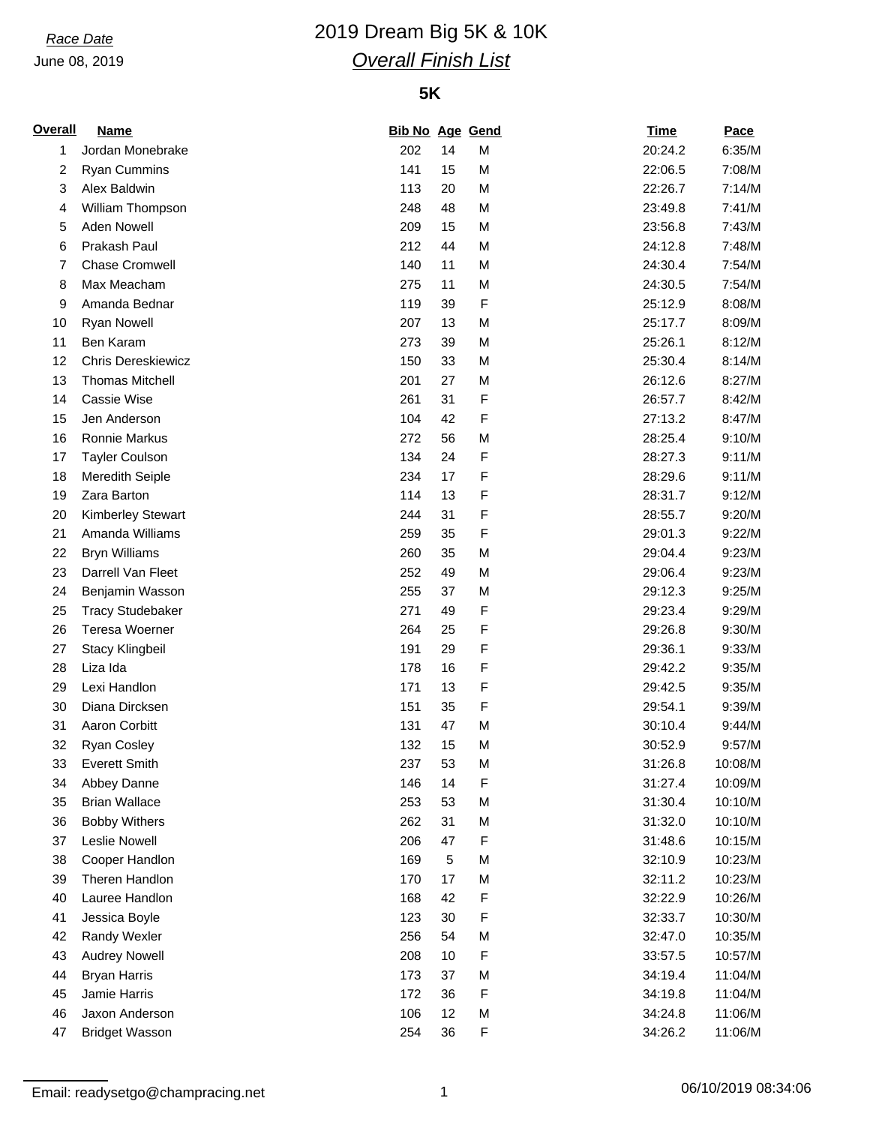# *Race Date* 2019 Dream Big 5K & 10K *Overall Finish List*

## **5K**

| <b>Overall</b> | <b>Name</b>               | <b>Bib No Age Gend</b> |            |             | <b>Time</b> | Pace    |
|----------------|---------------------------|------------------------|------------|-------------|-------------|---------|
| 1              | Jordan Monebrake          | 202                    | 14         | M           | 20:24.2     | 6:35/M  |
| 2              | <b>Ryan Cummins</b>       | 141                    | 15         | M           | 22:06.5     | 7:08/M  |
| 3              | Alex Baldwin              | 113                    | 20         | M           | 22:26.7     | 7:14/M  |
| 4              | William Thompson          | 248                    | 48         | M           | 23:49.8     | 7:41/M  |
| 5              | <b>Aden Nowell</b>        | 209                    | 15         | M           | 23:56.8     | 7:43/M  |
| 6              | Prakash Paul              | 212                    | 44         | M           | 24:12.8     | 7:48/M  |
| 7              | <b>Chase Cromwell</b>     | 140                    | 11         | M           | 24:30.4     | 7:54/M  |
| 8              | Max Meacham               | 275                    | 11         | M           | 24:30.5     | 7:54/M  |
| 9              | Amanda Bednar             | 119                    | 39         | F           | 25:12.9     | 8:08/M  |
| 10             | <b>Ryan Nowell</b>        | 207                    | 13         | M           | 25:17.7     | 8:09/M  |
| 11             | Ben Karam                 | 273                    | 39         | M           | 25:26.1     | 8:12/M  |
| 12             | <b>Chris Dereskiewicz</b> | 150                    | 33         | M           | 25:30.4     | 8:14/M  |
| 13             | <b>Thomas Mitchell</b>    | 201                    | 27         | M           | 26:12.6     | 8:27/M  |
| 14             | Cassie Wise               | 261                    | 31         | F           | 26:57.7     | 8:42/M  |
| 15             | Jen Anderson              | 104                    | 42         | F           | 27:13.2     | 8:47/M  |
| 16             | Ronnie Markus             | 272                    | 56         | M           | 28:25.4     | 9:10/M  |
| 17             | <b>Tayler Coulson</b>     | 134                    | 24         | F           | 28:27.3     | 9:11/M  |
| 18             | <b>Meredith Seiple</b>    | 234                    | 17         | F           | 28:29.6     | 9:11/M  |
| 19             | Zara Barton               | 114                    | 13         | F           | 28:31.7     | 9:12/M  |
| 20             | <b>Kimberley Stewart</b>  | 244                    | 31         | F           | 28:55.7     | 9:20/M  |
| 21             | Amanda Williams           | 259                    | 35         | F           | 29:01.3     | 9:22/M  |
| 22             | <b>Bryn Williams</b>      | 260                    | 35         | M           | 29:04.4     | 9:23/M  |
| 23             | Darrell Van Fleet         | 252                    | 49         | M           | 29:06.4     | 9:23/M  |
| 24             | Benjamin Wasson           | 255                    | 37         | M           | 29:12.3     | 9:25/M  |
| 25             | <b>Tracy Studebaker</b>   | 271                    | 49         | F           | 29:23.4     | 9:29/M  |
| 26             | <b>Teresa Woerner</b>     | 264                    | 25         | F           | 29:26.8     | 9:30/M  |
| 27             | <b>Stacy Klingbeil</b>    | 191                    | 29         | F           | 29:36.1     | 9:33/M  |
| 28             | Liza Ida                  | 178                    | 16         | F           | 29:42.2     | 9:35/M  |
| 29             | Lexi Handlon              | 171                    | 13         | F           | 29:42.5     | 9:35/M  |
| 30             | Diana Dircksen            | 151                    | 35         | F           | 29:54.1     | 9:39/M  |
| 31             | Aaron Corbitt             | 131                    | 47         | M           | 30:10.4     | 9:44/M  |
| 32             | Ryan Cosley               | 132                    | 15         | M           | 30:52.9     | 9:57/M  |
| 33             | <b>Everett Smith</b>      | 237                    | 53         | M           | 31:26.8     | 10:08/M |
| 34             | Abbey Danne               | 146                    | 14         | F           | 31:27.4     | 10:09/M |
| 35             | <b>Brian Wallace</b>      | 253                    | 53         | M           | 31:30.4     | 10:10/M |
| 36             | <b>Bobby Withers</b>      | 262                    | 31         | M           | 31:32.0     | 10:10/M |
| 37             | Leslie Nowell             | 206                    | 47         | F           | 31:48.6     | 10:15/M |
| 38             | Cooper Handlon            | 169                    | $\sqrt{5}$ | M           | 32:10.9     | 10:23/M |
| 39             | Theren Handlon            | 170                    | 17         | M           | 32:11.2     | 10:23/M |
| 40             | Lauree Handlon            | 168                    | 42         | $\mathsf F$ | 32:22.9     | 10:26/M |
| 41             | Jessica Boyle             | 123                    | 30         | F           | 32:33.7     | 10:30/M |
| 42             | Randy Wexler              | 256                    | 54         | M           | 32:47.0     | 10:35/M |
| 43             | <b>Audrey Nowell</b>      | 208                    | 10         | F           | 33:57.5     | 10:57/M |
| 44             | <b>Bryan Harris</b>       | 173                    | 37         | M           | 34:19.4     | 11:04/M |
| 45             | Jamie Harris              | 172                    | 36         | F           | 34:19.8     | 11:04/M |
| 46             | Jaxon Anderson            | 106                    | 12         | M           | 34:24.8     | 11:06/M |
| 47             | <b>Bridget Wasson</b>     | 254                    | 36         | F           | 34:26.2     | 11:06/M |

Email: readysetgo@champracing.net 1 1 1 1 06/10/2019 08:34:06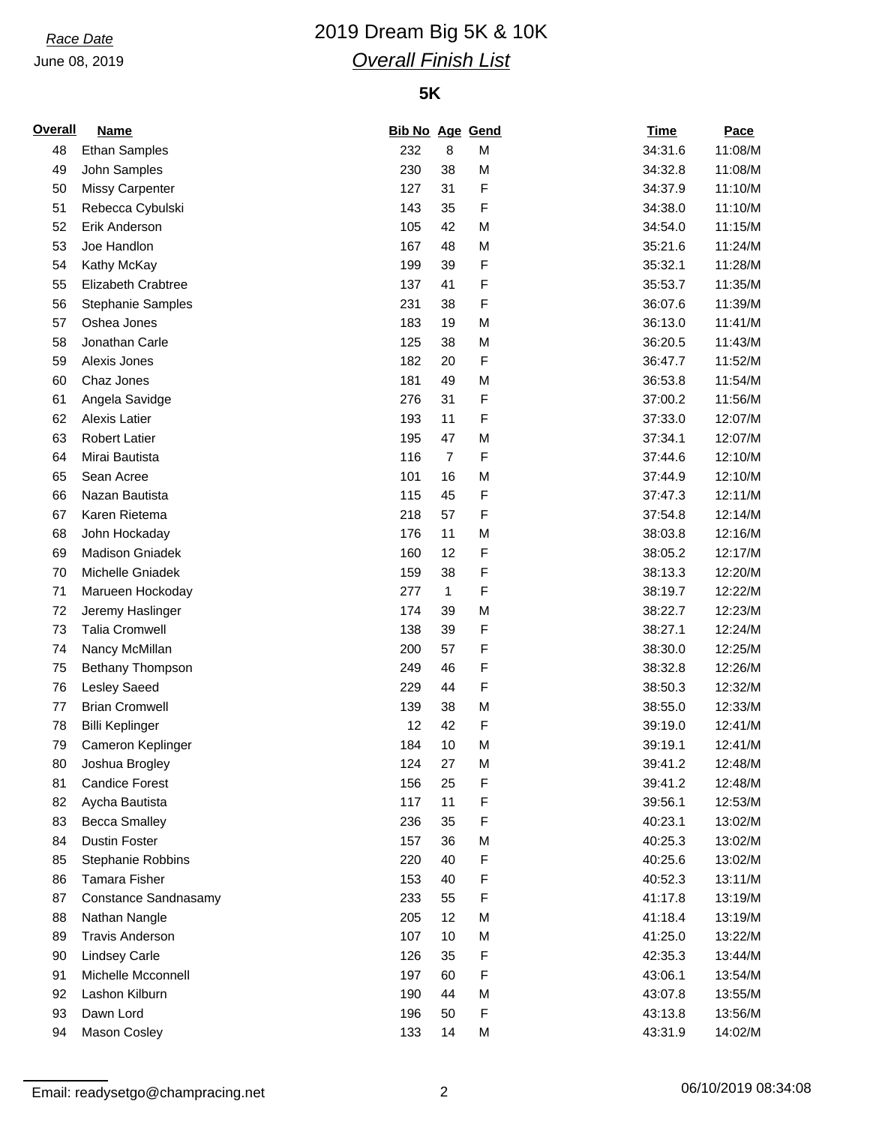# *Race Date* 2019 Dream Big 5K & 10K *Overall Finish List*

## **5K**

| <b>Overall</b> | <b>Name</b>              | <b>Bib No Age Gend</b> |                |   | <b>Time</b>        | Pace    |
|----------------|--------------------------|------------------------|----------------|---|--------------------|---------|
| 48             | <b>Ethan Samples</b>     | 232                    | 8              | М | 34:31.6            | 11:08/M |
| 49             | John Samples             | 230                    | 38             | M | 34:32.8            | 11:08/M |
| 50             | <b>Missy Carpenter</b>   | 127                    | 31             | F | 34:37.9            | 11:10/M |
| 51             | Rebecca Cybulski         | 143                    | 35             | F | 34:38.0            | 11:10/M |
| 52             | Erik Anderson            | 105                    | 42             | M | 34:54.0            | 11:15/M |
| 53             | Joe Handlon              | 167                    | 48             | M | 35:21.6            | 11:24/M |
| 54             | Kathy McKay              | 199                    | 39             | F | 35:32.1            | 11:28/M |
| 55             | Elizabeth Crabtree       | 137                    | 41             | F | 35:53.7            | 11:35/M |
| 56             | <b>Stephanie Samples</b> | 231                    | 38             | F | 36:07.6            | 11:39/M |
| 57             | Oshea Jones              | 183                    | 19             | M | 36:13.0            | 11:41/M |
| 58             | Jonathan Carle           | 125                    | 38             | M | 36:20.5            | 11:43/M |
| 59             | Alexis Jones             | 182                    | 20             | F | 36:47.7            | 11:52/M |
| 60             | Chaz Jones               | 181                    | 49             | M | 36:53.8            | 11:54/M |
| 61             | Angela Savidge           | 276                    | 31             | F | 37:00.2            | 11:56/M |
| 62             | <b>Alexis Latier</b>     | 193                    | 11             | F | 37:33.0            | 12:07/M |
| 63             | <b>Robert Latier</b>     | 195                    | 47             | M | 37:34.1            | 12:07/M |
| 64             | Mirai Bautista           | 116                    | $\overline{7}$ | F | 37:44.6            | 12:10/M |
| 65             | Sean Acree               | 101                    | 16             | M | 37:44.9            | 12:10/M |
| 66             | Nazan Bautista           | 115                    | 45             | F | 37:47.3            | 12:11/M |
| 67             | Karen Rietema            | 218                    | 57             | F | 37:54.8            | 12:14/M |
| 68             | John Hockaday            | 176                    | 11             | M | 38:03.8            | 12:16/M |
| 69             | <b>Madison Gniadek</b>   | 160                    | 12             | F | 38:05.2            | 12:17/M |
| 70             | Michelle Gniadek         | 159                    | 38             | F | 38:13.3            | 12:20/M |
| 71             | Marueen Hockoday         | 277                    | $\mathbf{1}$   | F | 38:19.7            | 12:22/M |
| 72             | Jeremy Haslinger         | 174                    | 39             | M | 38:22.7            | 12:23/M |
| 73             | <b>Talia Cromwell</b>    | 138                    | 39             | F | 38:27.1            | 12:24/M |
| 74             | Nancy McMillan           | 200                    | 57             | F | 38:30.0            | 12:25/M |
| 75             | Bethany Thompson         | 249                    | 46             | F | 38:32.8            | 12:26/M |
| 76             | Lesley Saeed             | 229                    | 44             | F | 38:50.3            | 12:32/M |
| 77             | <b>Brian Cromwell</b>    | 139                    | 38             | M | 38:55.0            | 12:33/M |
| 78             | <b>Billi Keplinger</b>   | 12                     | 42             | F | 39:19.0            | 12:41/M |
| 79             | Cameron Keplinger        | 184                    | 10             | M | 39:19.1            | 12:41/M |
| 80             | Joshua Brogley           | 124                    | 27             | M | 39:41.2            | 12:48/M |
| 81             | <b>Candice Forest</b>    | 156                    | 25             | F | 39:41.2            | 12:48/M |
| 82             | Aycha Bautista           | 117                    | 11             | F | 39:56.1            | 12:53/M |
| 83             | <b>Becca Smalley</b>     | 236                    | 35             | F | 40:23.1            | 13:02/M |
| 84             | <b>Dustin Foster</b>     | 157                    | 36             | M | 40:25.3            | 13:02/M |
| 85             | Stephanie Robbins        | 220                    | 40             | F | 40:25.6            | 13:02/M |
| 86             | <b>Tamara Fisher</b>     | 153                    | 40             | F | 40:52.3            | 13:11/M |
| 87             | Constance Sandnasamy     | 233                    | 55             | F | 41:17.8            | 13:19/M |
| 88             | Nathan Nangle            | 205                    | 12             | M | 41:18.4            | 13:19/M |
| 89             | <b>Travis Anderson</b>   | 107                    | 10             | M | 41:25.0            | 13:22/M |
| 90             | <b>Lindsey Carle</b>     | 126                    | 35             | F | 42:35.3            | 13:44/M |
| 91             | Michelle Mcconnell       | 197                    | 60             | F | 43:06.1            | 13:54/M |
|                | Lashon Kilburn           |                        | 44             | M |                    |         |
| 92             | Dawn Lord                | 190                    | 50             | F | 43:07.8<br>43:13.8 | 13:55/M |
| 93             |                          | 196                    |                |   |                    | 13:56/M |
| 94             | Mason Cosley             | 133                    | 14             | M | 43:31.9            | 14:02/M |

Email: readysetgo@champracing.net 2 2 06/10/2019 08:34:08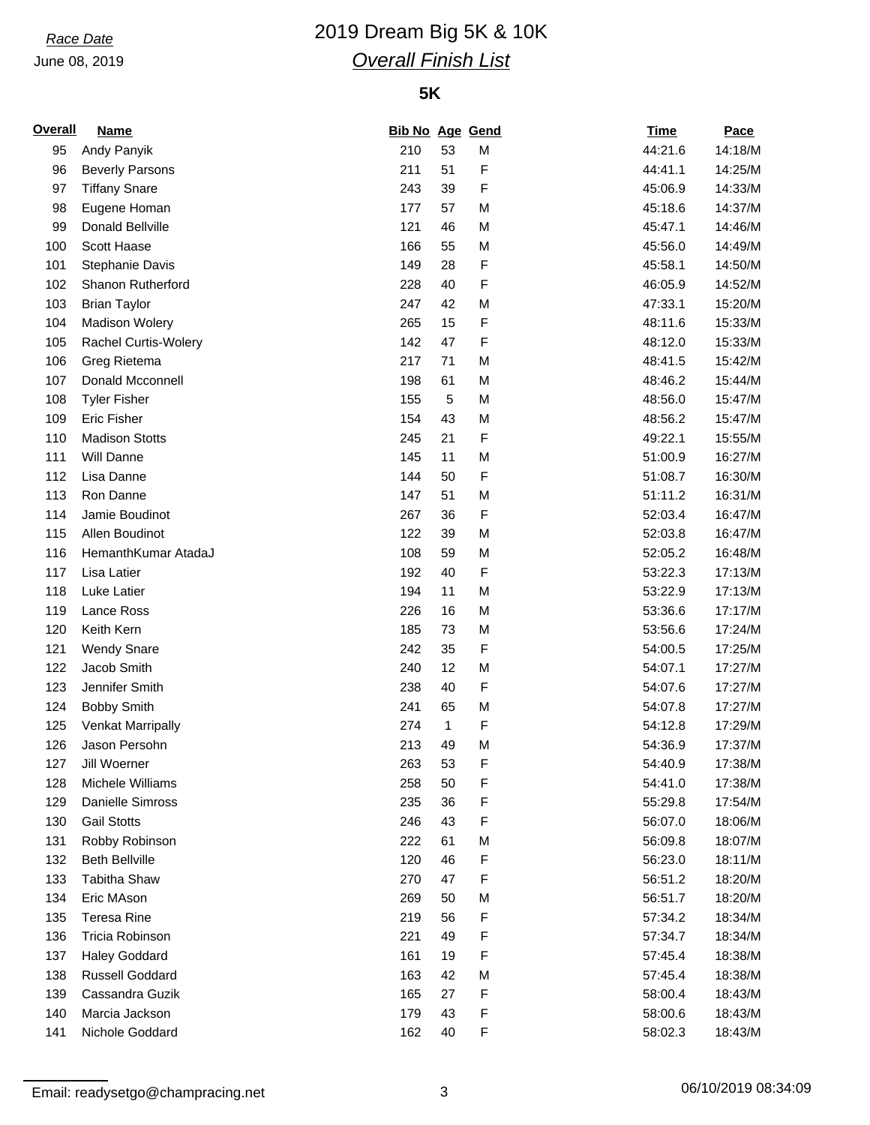# *Race Date* 2019 Dream Big 5K & 10K *Overall Finish List*

## **5K**

| <b>Overall</b> | <b>Name</b>             | <b>Bib No Age Gend</b> |              |   | <b>Time</b> | Pace    |
|----------------|-------------------------|------------------------|--------------|---|-------------|---------|
| 95             | Andy Panyik             | 210                    | 53           | M | 44:21.6     | 14:18/M |
| 96             | <b>Beverly Parsons</b>  | 211                    | 51           | F | 44:41.1     | 14:25/M |
| 97             | <b>Tiffany Snare</b>    | 243                    | 39           | F | 45:06.9     | 14:33/M |
| 98             | Eugene Homan            | 177                    | 57           | M | 45:18.6     | 14:37/M |
| 99             | Donald Bellville        | 121                    | 46           | M | 45:47.1     | 14:46/M |
| 100            | Scott Haase             | 166                    | 55           | M | 45:56.0     | 14:49/M |
| 101            | Stephanie Davis         | 149                    | 28           | F | 45:58.1     | 14:50/M |
| 102            | Shanon Rutherford       | 228                    | 40           | F | 46:05.9     | 14:52/M |
| 103            | <b>Brian Taylor</b>     | 247                    | 42           | M | 47:33.1     | 15:20/M |
| 104            | <b>Madison Wolery</b>   | 265                    | 15           | F | 48:11.6     | 15:33/M |
| 105            | Rachel Curtis-Wolery    | 142                    | 47           | F | 48:12.0     | 15:33/M |
| 106            | Greg Rietema            | 217                    | 71           | M | 48:41.5     | 15:42/M |
| 107            | Donald Mcconnell        | 198                    | 61           | M | 48:46.2     | 15:44/M |
| 108            | <b>Tyler Fisher</b>     | 155                    | $\mathbf 5$  | M | 48:56.0     | 15:47/M |
| 109            | <b>Eric Fisher</b>      | 154                    | 43           | M | 48:56.2     | 15:47/M |
| 110            | <b>Madison Stotts</b>   | 245                    | 21           | F | 49:22.1     | 15:55/M |
| 111            | Will Danne              | 145                    | 11           | M | 51:00.9     | 16:27/M |
| 112            | Lisa Danne              | 144                    | 50           | F | 51:08.7     | 16:30/M |
| 113            | Ron Danne               | 147                    | 51           | M | 51:11.2     | 16:31/M |
| 114            | Jamie Boudinot          | 267                    | 36           | F | 52:03.4     | 16:47/M |
| 115            | Allen Boudinot          | 122                    | 39           | M | 52:03.8     | 16:47/M |
| 116            | HemanthKumar AtadaJ     | 108                    | 59           | M | 52:05.2     | 16:48/M |
| 117            | Lisa Latier             | 192                    | 40           | F | 53:22.3     | 17:13/M |
| 118            | Luke Latier             | 194                    | 11           | M | 53:22.9     | 17:13/M |
| 119            | Lance Ross              | 226                    | 16           | M | 53:36.6     | 17:17/M |
| 120            | Keith Kern              | 185                    | 73           | M | 53:56.6     | 17:24/M |
| 121            | <b>Wendy Snare</b>      | 242                    | 35           | F | 54:00.5     | 17:25/M |
| 122            | Jacob Smith             | 240                    | 12           | M | 54:07.1     | 17:27/M |
| 123            | Jennifer Smith          | 238                    | 40           | F | 54:07.6     | 17:27/M |
| 124            | <b>Bobby Smith</b>      | 241                    | 65           | M | 54:07.8     | 17:27/M |
| 125            |                         | 274                    | $\mathbf{1}$ | F | 54:12.8     | 17:29/M |
|                | Venkat Marripally       |                        |              |   |             |         |
| 126            | Jason Persohn           | 213                    | 49           | M | 54:36.9     | 17:37/M |
| 127            | Jill Woerner            | 263                    | 53           | F | 54:40.9     | 17:38/M |
| 128            | Michele Williams        | 258                    | 50           | F | 54:41.0     | 17:38/M |
| 129            | <b>Danielle Simross</b> | 235                    | 36           | F | 55:29.8     | 17:54/M |
| 130            | <b>Gail Stotts</b>      | 246                    | 43           | F | 56:07.0     | 18:06/M |
| 131            | Robby Robinson          | 222                    | 61           | M | 56:09.8     | 18:07/M |
| 132            | <b>Beth Bellville</b>   | 120                    | 46           | F | 56:23.0     | 18:11/M |
| 133            | <b>Tabitha Shaw</b>     | 270                    | 47           | F | 56:51.2     | 18:20/M |
| 134            | Eric MAson              | 269                    | 50           | М | 56:51.7     | 18:20/M |
| 135            | <b>Teresa Rine</b>      | 219                    | 56           | F | 57:34.2     | 18:34/M |
| 136            | Tricia Robinson         | 221                    | 49           | F | 57:34.7     | 18:34/M |
| 137            | <b>Haley Goddard</b>    | 161                    | 19           | F | 57:45.4     | 18:38/M |
| 138            | <b>Russell Goddard</b>  | 163                    | 42           | М | 57:45.4     | 18:38/M |
| 139            | Cassandra Guzik         | 165                    | 27           | F | 58:00.4     | 18:43/M |
| 140            | Marcia Jackson          | 179                    | 43           | F | 58:00.6     | 18:43/M |
| 141            | Nichole Goddard         | 162                    | 40           | F | 58:02.3     | 18:43/M |

Email: readysetgo@champracing.net 3 3 06/10/2019 08:34:09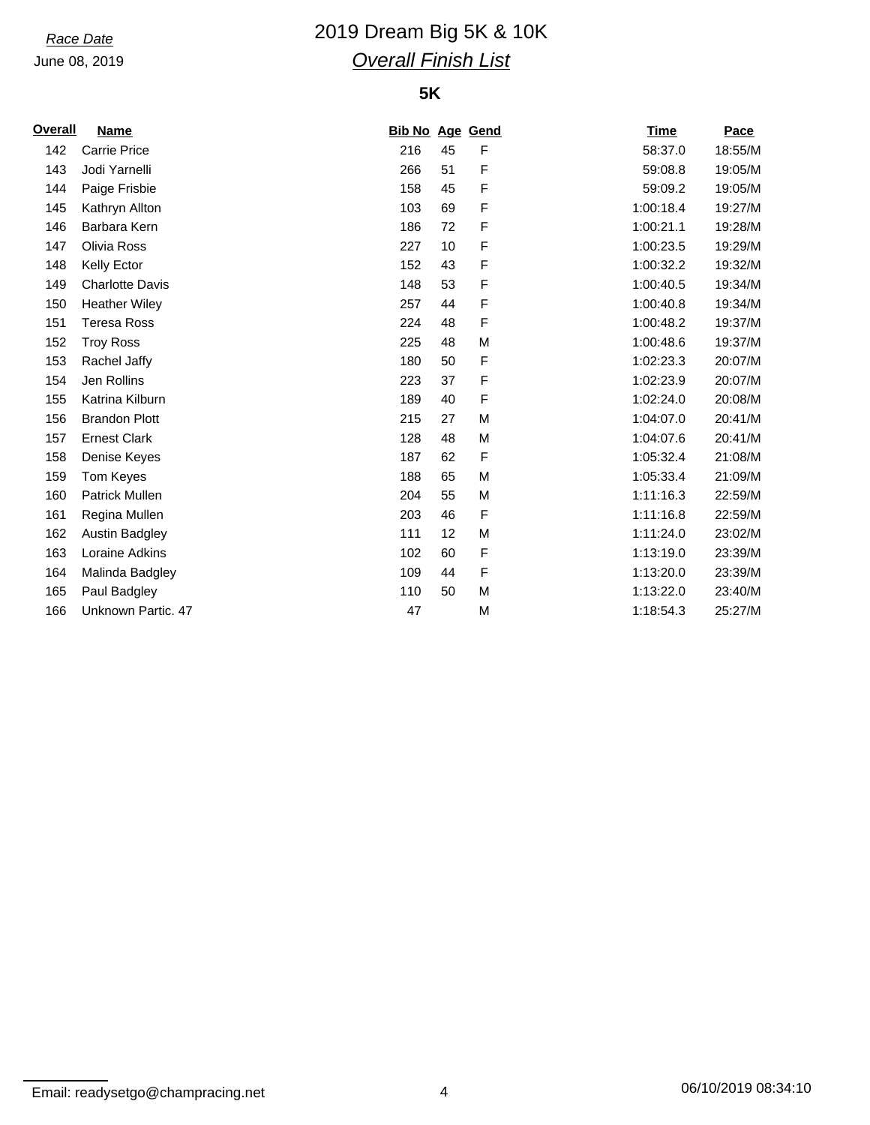# *Race Date* 2019 Dream Big 5K & 10K *Overall Finish List*

## **5K**

| <b>Overall</b> | <b>Name</b>            | <b>Bib No Age Gend</b> |    |             | <b>Time</b> | Pace    |
|----------------|------------------------|------------------------|----|-------------|-------------|---------|
| 142            | <b>Carrie Price</b>    | 216                    | 45 | F           | 58:37.0     | 18:55/M |
| 143            | Jodi Yarnelli          | 266                    | 51 | $\mathsf F$ | 59:08.8     | 19:05/M |
| 144            | Paige Frisbie          | 158                    | 45 | F           | 59:09.2     | 19:05/M |
| 145            | Kathryn Allton         | 103                    | 69 | F           | 1:00:18.4   | 19:27/M |
| 146            | Barbara Kern           | 186                    | 72 | F           | 1:00:21.1   | 19:28/M |
| 147            | Olivia Ross            | 227                    | 10 | F           | 1:00:23.5   | 19:29/M |
| 148            | Kelly Ector            | 152                    | 43 | F           | 1:00:32.2   | 19:32/M |
| 149            | <b>Charlotte Davis</b> | 148                    | 53 | $\mathsf F$ | 1:00:40.5   | 19:34/M |
| 150            | <b>Heather Wiley</b>   | 257                    | 44 | $\mathsf F$ | 1:00:40.8   | 19:34/M |
| 151            | <b>Teresa Ross</b>     | 224                    | 48 | $\mathsf F$ | 1:00:48.2   | 19:37/M |
| 152            | <b>Troy Ross</b>       | 225                    | 48 | M           | 1:00:48.6   | 19:37/M |
| 153            | Rachel Jaffy           | 180                    | 50 | F           | 1:02:23.3   | 20:07/M |
| 154            | Jen Rollins            | 223                    | 37 | F           | 1:02:23.9   | 20:07/M |
| 155            | Katrina Kilburn        | 189                    | 40 | F           | 1:02:24.0   | 20:08/M |
| 156            | <b>Brandon Plott</b>   | 215                    | 27 | M           | 1:04:07.0   | 20:41/M |
| 157            | <b>Ernest Clark</b>    | 128                    | 48 | M           | 1:04:07.6   | 20:41/M |
| 158            | Denise Keyes           | 187                    | 62 | $\mathsf F$ | 1:05:32.4   | 21:08/M |
| 159            | Tom Keyes              | 188                    | 65 | M           | 1:05:33.4   | 21:09/M |
| 160            | Patrick Mullen         | 204                    | 55 | M           | 1:11:16.3   | 22:59/M |
| 161            | Regina Mullen          | 203                    | 46 | $\mathsf F$ | 1:11:16.8   | 22:59/M |
| 162            | <b>Austin Badgley</b>  | 111                    | 12 | M           | 1:11:24.0   | 23:02/M |
| 163            | Loraine Adkins         | 102                    | 60 | F           | 1:13:19.0   | 23:39/M |
| 164            | Malinda Badgley        | 109                    | 44 | $\mathsf F$ | 1:13:20.0   | 23:39/M |
| 165            | Paul Badgley           | 110                    | 50 | M           | 1:13:22.0   | 23:40/M |
| 166            | Unknown Partic. 47     | 47                     |    | M           | 1:18:54.3   | 25:27/M |

Email: readysetgo@champracing.net 4 4 06/10/2019 08:34:10